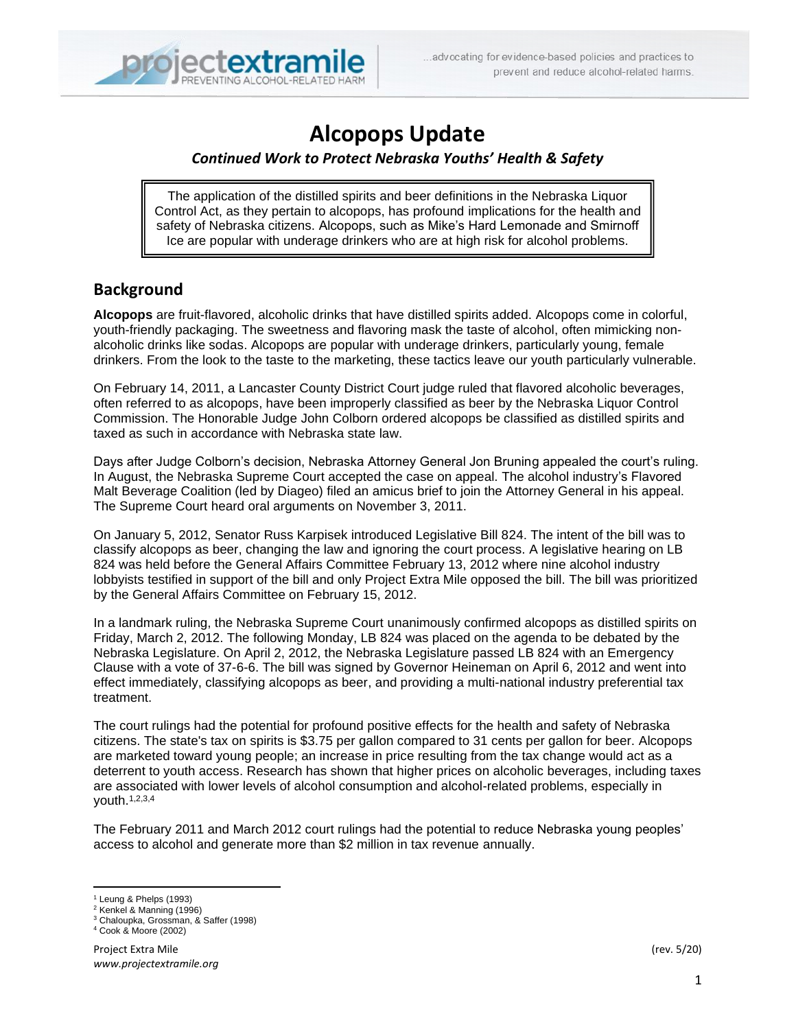

# **Alcopops Update**

### *Continued Work to Protect Nebraska Youths' Health & Safety*

Inc safety of Nebraska citizens. Alcopops, such as Mike's Hard Lemonade and Smirnoff The application of the distilled spirits and beer definitions in the Nebraska Liquor Control Act, as they pertain to alcopops, has profound implications for the health and Ice are popular with underage drinkers who are at high risk for alcohol problems.

## **Background**

**Alcopops** are fruit-flavored, alcoholic drinks that have distilled spirits added. Alcopops come in colorful, youth-friendly packaging. The sweetness and flavoring mask the taste of alcohol, often mimicking nonalcoholic drinks like sodas. Alcopops are popular with underage drinkers, particularly young, female drinkers. From the look to the taste to the marketing, these tactics leave our youth particularly vulnerable.

On February 14, 2011, a Lancaster County District Court judge ruled that flavored alcoholic beverages, often referred to as alcopops, have been improperly classified as beer by the Nebraska Liquor Control Commission. The Honorable Judge John Colborn ordered alcopops be classified as distilled spirits and taxed as such in accordance with Nebraska state law.

Days after Judge Colborn's decision, Nebraska Attorney General Jon Bruning appealed the court's ruling. In August, the Nebraska Supreme Court accepted the case on appeal. The alcohol industry's Flavored Malt Beverage Coalition (led by Diageo) filed an amicus brief to join the Attorney General in his appeal. The Supreme Court heard oral arguments on November 3, 2011.

On January 5, 2012, Senator Russ Karpisek introduced Legislative Bill 824. The intent of the bill was to classify alcopops as beer, changing the law and ignoring the court process. A legislative hearing on LB 824 was held before the General Affairs Committee February 13, 2012 where nine alcohol industry lobbyists testified in support of the bill and only Project Extra Mile opposed the bill. The bill was prioritized by the General Affairs Committee on February 15, 2012.

In a landmark ruling, the Nebraska Supreme Court unanimously confirmed alcopops as distilled spirits on Friday, March 2, 2012. The following Monday, LB 824 was placed on the agenda to be debated by the Nebraska Legislature. On April 2, 2012, the Nebraska Legislature passed LB 824 with an Emergency Clause with a vote of 37-6-6. The bill was signed by Governor Heineman on April 6, 2012 and went into effect immediately, classifying alcopops as beer, and providing a multi-national industry preferential tax treatment.

The court rulings had the potential for profound positive effects for the health and safety of Nebraska citizens. The state's tax on spirits is \$3.75 per gallon compared to 31 cents per gallon for beer. Alcopops are marketed toward young people; an increase in price resulting from the tax change would act as a deterrent to youth access. Research has shown that higher prices on alcoholic beverages, including taxes are associated with lower levels of alcohol consumption and alcohol-related problems, especially in youth.1,2,3,4

The February 2011 and March 2012 court rulings had the potential to reduce Nebraska young peoples' access to alcohol and generate more than \$2 million in tax revenue annually.

<sup>1</sup> Leung & Phelps (1993)

<sup>2</sup> Kenkel & Manning (1996)

<sup>3</sup> Chaloupka, Grossman, & Saffer (1998) <sup>4</sup> Cook & Moore (2002)